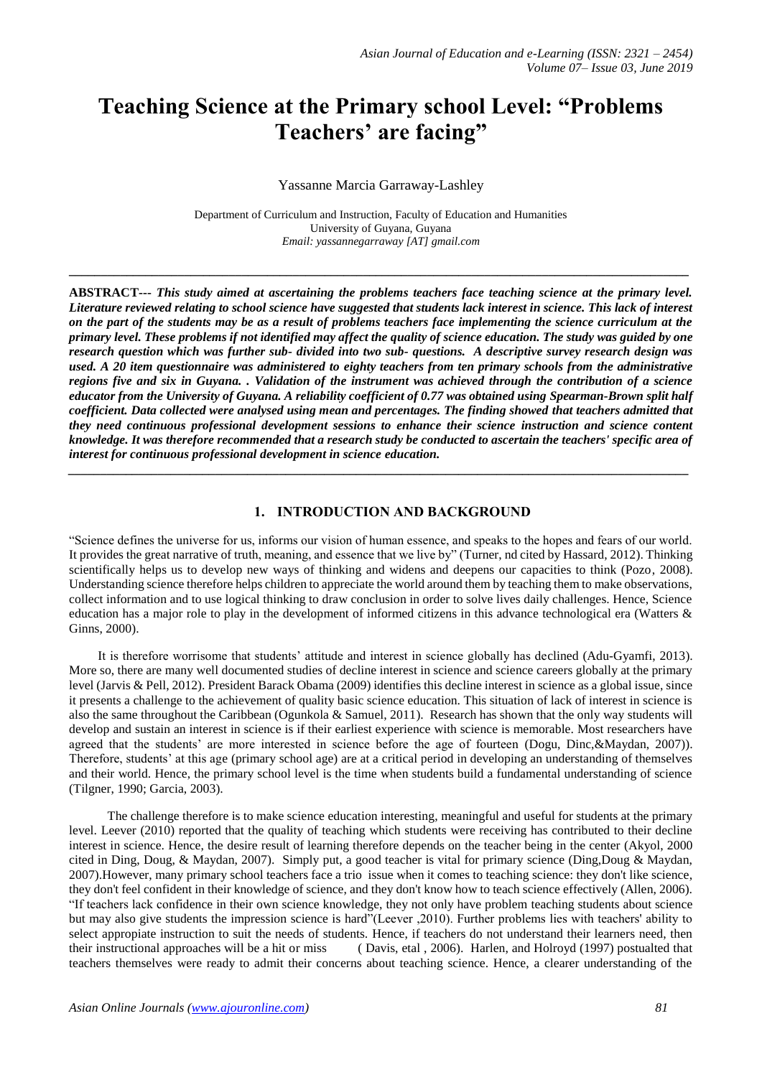# **Teaching Science at the Primary school Level: "Problems Teachers' are facing"**

Yassanne Marcia Garraway-Lashley

Department of Curriculum and Instruction, Faculty of Education and Humanities University of Guyana, Guyana *Email: yassannegarraway [AT] gmail.com*

**\_\_\_\_\_\_\_\_\_\_\_\_\_\_\_\_\_\_\_\_\_\_\_\_\_\_\_\_\_\_\_\_\_\_\_\_\_\_\_\_\_\_\_\_\_\_\_\_\_\_\_\_\_\_\_\_\_\_\_\_\_\_\_\_\_\_\_\_\_\_\_\_\_\_\_\_\_\_\_\_\_\_\_\_\_\_\_\_\_\_\_\_\_\_\_\_\_**

**ABSTRACT---** *This study aimed at ascertaining the problems teachers face teaching science at the primary level. Literature reviewed relating to school science have suggested that students lack interest in science. This lack of interest on the part of the students may be as a result of problems teachers face implementing the science curriculum at the primary level. These problems if not identified may affect the quality of science education. The study was guided by one research question which was further sub- divided into two sub- questions. A descriptive survey research design was used. A 20 item questionnaire was administered to eighty teachers from ten primary schools from the administrative regions five and six in Guyana. . Validation of the instrument was achieved through the contribution of a science educator from the University of Guyana. A reliability coefficient of 0.77 was obtained using Spearman-Brown split half coefficient. Data collected were analysed using mean and percentages. The finding showed that teachers admitted that they need continuous professional development sessions to enhance their science instruction and science content knowledge. It was therefore recommended that a research study be conducted to ascertain the teachers' specific area of interest for continuous professional development in science education.*

*\_\_\_\_\_\_\_\_\_\_\_\_\_\_\_\_\_\_\_\_\_\_\_\_\_\_\_\_\_\_\_\_\_\_\_\_\_\_\_\_\_\_\_\_\_\_\_\_\_\_\_\_\_\_\_\_\_\_\_\_\_\_\_\_\_\_\_\_\_\_\_\_\_\_\_\_\_\_\_\_\_\_\_\_\_\_\_\_\_\_\_\_\_\_\_\_\_*

# **1. INTRODUCTION AND BACKGROUND**

"Science defines the universe for us, informs our vision of human essence, and speaks to the hopes and fears of our world. It provides the great narrative of truth, meaning, and essence that we live by" (Turner, nd cited by Hassard, 2012). Thinking scientifically helps us to develop new ways of thinking and widens and deepens our capacities to think (Pozo, 2008). Understanding science therefore helps children to appreciate the world around them by teaching them to make observations, collect information and to use logical thinking to draw conclusion in order to solve lives daily challenges. Hence, Science education has a major role to play in the development of informed citizens in this advance technological era (Watters & Ginns, 2000).

 It is therefore worrisome that students' attitude and interest in science globally has declined (Adu-Gyamfi, 2013). More so, there are many well documented studies of decline interest in science and science careers globally at the primary level (Jarvis & Pell, 2012). President Barack Obama (2009) identifies this decline interest in science as a global issue, since it presents a challenge to the achievement of quality basic science education. This situation of lack of interest in science is also the same throughout the Caribbean (Ogunkola & Samuel, 2011). Research has shown that the only way students will develop and sustain an interest in science is if their earliest experience with science is memorable. Most researchers have agreed that the students' are more interested in science before the age of fourteen (Dogu, Dinc,&Maydan, 2007)). Therefore, students' at this age (primary school age) are at a critical period in developing an understanding of themselves and their world. Hence, the primary school level is the time when students build a fundamental understanding of science (Tilgner, 1990; Garcia, 2003).

 The challenge therefore is to make science education interesting, meaningful and useful for students at the primary level. Leever (2010) reported that the quality of teaching which students were receiving has contributed to their decline interest in science. Hence, the desire result of learning therefore depends on the teacher being in the center (Akyol, 2000 cited in Ding, Doug, & Maydan, 2007). Simply put, a good teacher is vital for primary science (Ding,Doug & Maydan, 2007).However, many primary school teachers face a trio issue when it comes to teaching science: they don't like science, they don't feel confident in their knowledge of science, and they don't know how to teach science effectively (Allen, 2006). "If teachers lack confidence in their own science knowledge, they not only have problem teaching students about science but may also give students the impression science is hard"(Leever ,2010). Further problems lies with teachers' ability to select appropiate instruction to suit the needs of students. Hence, if teachers do not understand their learners need, then their instructional approaches will be a hit or miss ( Davis, etal , 2006). Harlen, and Holroyd (1997) postualted that teachers themselves were ready to admit their concerns about teaching science. Hence, a clearer understanding of the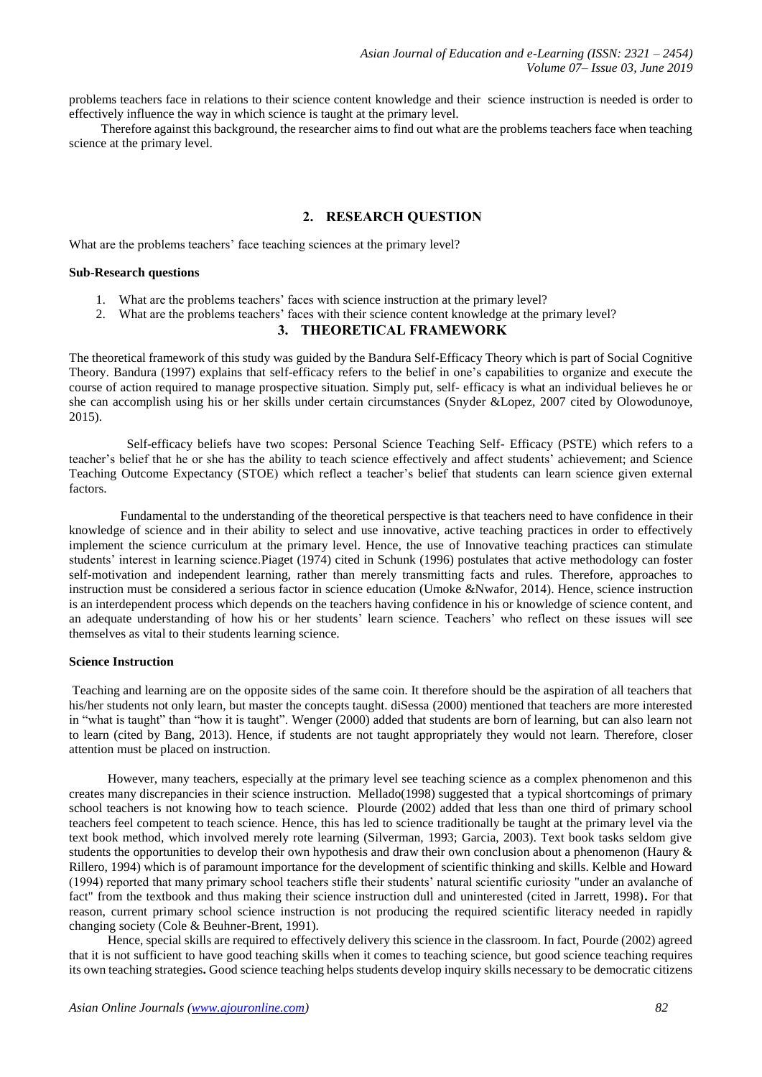problems teachers face in relations to their science content knowledge and their science instruction is needed is order to effectively influence the way in which science is taught at the primary level.

 Therefore against this background, the researcher aims to find out what are the problems teachers face when teaching science at the primary level.

# **2. RESEARCH QUESTION**

What are the problems teachers' face teaching sciences at the primary level?

#### **Sub-Research questions**

- 1. What are the problems teachers' faces with science instruction at the primary level?
- 2. What are the problems teachers' faces with their science content knowledge at the primary level?

#### **3. THEORETICAL FRAMEWORK**

The theoretical framework of this study was guided by the Bandura Self-Efficacy Theory which is part of Social Cognitive Theory. Bandura (1997) explains that self-efficacy refers to the belief in one's capabilities to organize and execute the course of action required to manage prospective situation. Simply put, self- efficacy is what an individual believes he or she can accomplish using his or her skills under certain circumstances (Snyder &Lopez, 2007 cited by Olowodunoye, 2015).

 Self-efficacy beliefs have two scopes: Personal Science Teaching Self- Efficacy (PSTE) which refers to a teacher's belief that he or she has the ability to teach science effectively and affect students' achievement; and Science Teaching Outcome Expectancy (STOE) which reflect a teacher's belief that students can learn science given external factors.

 Fundamental to the understanding of the theoretical perspective is that teachers need to have confidence in their knowledge of science and in their ability to select and use innovative, active teaching practices in order to effectively implement the science curriculum at the primary level. Hence, the use of Innovative teaching practices can stimulate students' interest in learning science.Piaget (1974) cited in Schunk (1996) postulates that active methodology can foster self-motivation and independent learning, rather than merely transmitting facts and rules. Therefore, approaches to instruction must be considered a serious factor in science education (Umoke &Nwafor, 2014). Hence, science instruction is an interdependent process which depends on the teachers having confidence in his or knowledge of science content, and an adequate understanding of how his or her students' learn science. Teachers' who reflect on these issues will see themselves as vital to their students learning science.

#### **Science Instruction**

Teaching and learning are on the opposite sides of the same coin. It therefore should be the aspiration of all teachers that his/her students not only learn, but master the concepts taught. diSessa (2000) mentioned that teachers are more interested in "what is taught" than "how it is taught". Wenger (2000) added that students are born of learning, but can also learn not to learn (cited by Bang, 2013). Hence, if students are not taught appropriately they would not learn. Therefore, closer attention must be placed on instruction.

 However, many teachers, especially at the primary level see teaching science as a complex phenomenon and this creates many discrepancies in their science instruction. Mellado(1998) suggested that a typical shortcomings of primary school teachers is not knowing how to teach science. Plourde (2002) added that less than one third of primary school teachers feel competent to teach science. Hence, this has led to science traditionally be taught at the primary level via the text book method, which involved merely rote learning (Silverman, 1993; Garcia, 2003). Text book tasks seldom give students the opportunities to develop their own hypothesis and draw their own conclusion about a phenomenon (Haury & Rillero, 1994) which is of paramount importance for the development of scientific thinking and skills. Kelble and Howard (1994) reported that many primary school teachers stifle their students' natural scientific curiosity "under an avalanche of fact" from the textbook and thus making their science instruction dull and uninterested (cited in Jarrett, 1998)**.** For that reason, current primary school science instruction is not producing the required scientific literacy needed in rapidly changing society (Cole & Beuhner-Brent, 1991).

 Hence, special skills are required to effectively delivery this science in the classroom. In fact, Pourde (2002) agreed that it is not sufficient to have good teaching skills when it comes to teaching science, but good science teaching requires its own teaching strategies**.** Good science teaching helps students develop inquiry skills necessary to be democratic citizens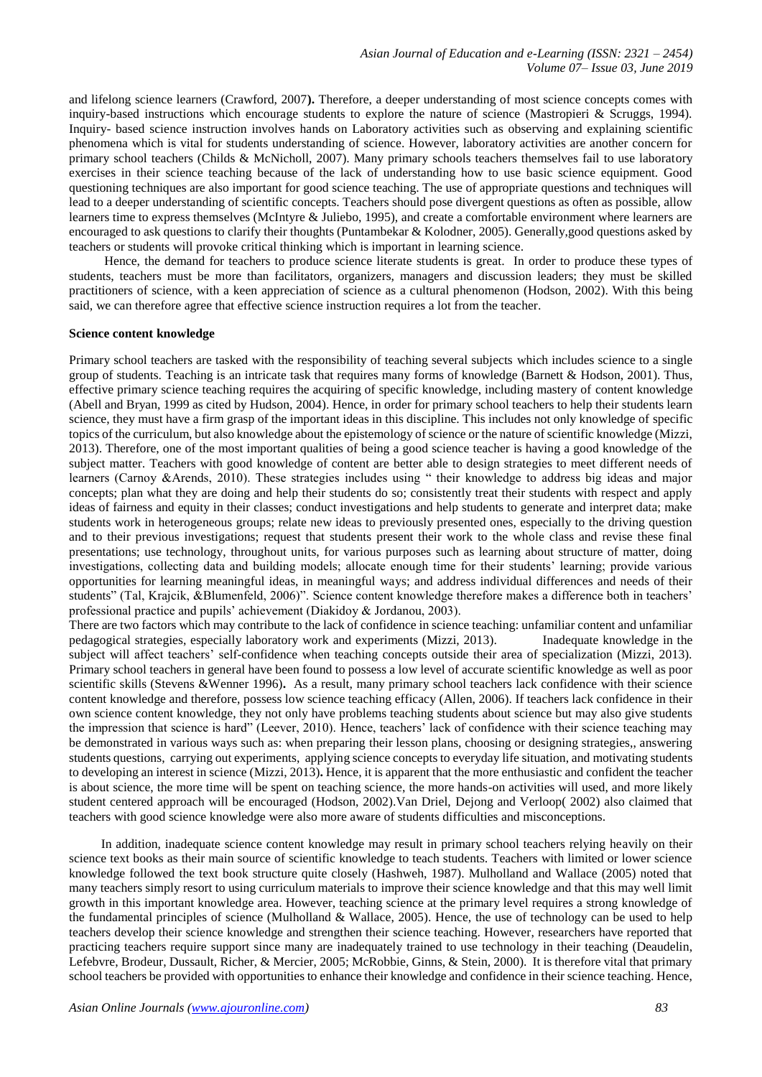and lifelong science learners (Crawford, 2007**).** Therefore, a deeper understanding of most science concepts comes with inquiry-based instructions which encourage students to explore the nature of science (Mastropieri & Scruggs, 1994). Inquiry- based science instruction involves hands on Laboratory activities such as observing and explaining scientific phenomena which is vital for students understanding of science. However, laboratory activities are another concern for primary school teachers (Childs & McNicholl, 2007). Many primary schools teachers themselves fail to use laboratory exercises in their science teaching because of the lack of understanding how to use basic science equipment. Good questioning techniques are also important for good science teaching. The use of appropriate questions and techniques will lead to a deeper understanding of scientific concepts. Teachers should pose divergent questions as often as possible, allow learners time to express themselves (McIntyre & Juliebo, 1995), and create a comfortable environment where learners are encouraged to ask questions to clarify their thoughts (Puntambekar & Kolodner, 2005). Generally,good questions asked by teachers or students will provoke critical thinking which is important in learning science.

 Hence, the demand for teachers to produce science literate students is great. In order to produce these types of students, teachers must be more than facilitators, organizers, managers and discussion leaders; they must be skilled practitioners of science, with a keen appreciation of science as a cultural phenomenon (Hodson, 2002). With this being said, we can therefore agree that effective science instruction requires a lot from the teacher.

#### **Science content knowledge**

Primary school teachers are tasked with the responsibility of teaching several subjects which includes science to a single group of students. Teaching is an intricate task that requires many forms of knowledge (Barnett & Hodson, 2001). Thus, effective primary science teaching requires the acquiring of specific knowledge, including mastery of content knowledge (Abell and Bryan, 1999 as cited by Hudson, 2004). Hence, in order for primary school teachers to help their students learn science, they must have a firm grasp of the important ideas in this discipline. This includes not only knowledge of specific topics of the curriculum, but also knowledge about the epistemology of science or the nature of scientific knowledge (Mizzi, 2013). Therefore, one of the most important qualities of being a good science teacher is having a good knowledge of the subject matter. Teachers with good knowledge of content are better able to design strategies to meet different needs of learners (Carnoy &Arends, 2010). These strategies includes using " their knowledge to address big ideas and major concepts; plan what they are doing and help their students do so; consistently treat their students with respect and apply ideas of fairness and equity in their classes; conduct investigations and help students to generate and interpret data; make students work in heterogeneous groups; relate new ideas to previously presented ones, especially to the driving question and to their previous investigations; request that students present their work to the whole class and revise these final presentations; use technology, throughout units, for various purposes such as learning about structure of matter, doing investigations, collecting data and building models; allocate enough time for their students' learning; provide various opportunities for learning meaningful ideas, in meaningful ways; and address individual differences and needs of their students" (Tal, Krajcik, &Blumenfeld, 2006)". Science content knowledge therefore makes a difference both in teachers' professional practice and pupils' achievement (Diakidoy & Jordanou, 2003).

There are two factors which may contribute to the lack of confidence in science teaching: unfamiliar content and unfamiliar pedagogical strategies, especially laboratory work and experiments (Mizzi, 2013). Inadequate knowledge in the subject will affect teachers' self-confidence when teaching concepts outside their area of specialization (Mizzi, 2013). Primary school teachers in general have been found to possess a low level of accurate scientific knowledge as well as poor scientific skills (Stevens &Wenner 1996)**.** As a result, many primary school teachers lack confidence with their science content knowledge and therefore, possess low science teaching efficacy (Allen, 2006). If teachers lack confidence in their own science content knowledge, they not only have problems teaching students about science but may also give students the impression that science is hard" (Leever, 2010). Hence, teachers' lack of confidence with their science teaching may be demonstrated in various ways such as: when preparing their lesson plans, choosing or designing strategies,, answering students questions, carrying out experiments, applying science concepts to everyday life situation, and motivating students to developing an interest in science (Mizzi, 2013)**.** Hence, it is apparent that the more enthusiastic and confident the teacher is about science, the more time will be spent on teaching science, the more hands-on activities will used, and more likely student centered approach will be encouraged (Hodson, 2002).Van Driel, Dejong and Verloop( 2002) also claimed that teachers with good science knowledge were also more aware of students difficulties and misconceptions.

 In addition, inadequate science content knowledge may result in primary school teachers relying heavily on their science text books as their main source of scientific knowledge to teach students. Teachers with limited or lower science knowledge followed the text book structure quite closely (Hashweh, 1987). Mulholland and Wallace (2005) noted that many teachers simply resort to using curriculum materials to improve their science knowledge and that this may well limit growth in this important knowledge area. However, teaching science at the primary level requires a strong knowledge of the fundamental principles of science (Mulholland & Wallace, 2005). Hence, the use of technology can be used to help teachers develop their science knowledge and strengthen their science teaching. However, researchers have reported that practicing teachers require support since many are inadequately trained to use technology in their teaching (Deaudelin, Lefebvre, Brodeur, Dussault, Richer, & Mercier, 2005; McRobbie, Ginns, & Stein, 2000). It is therefore vital that primary school teachers be provided with opportunities to enhance their knowledge and confidence in their science teaching. Hence,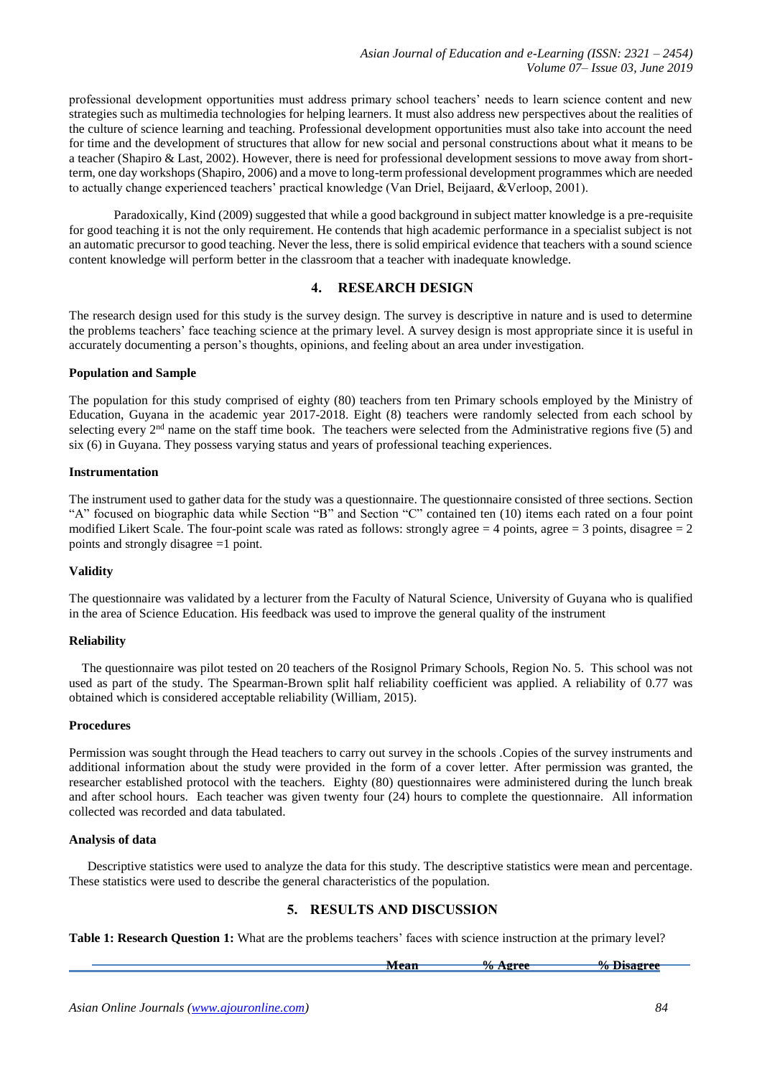professional development opportunities must address primary school teachers' needs to learn science content and new strategies such as multimedia technologies for helping learners. It must also address new perspectives about the realities of the culture of science learning and teaching. Professional development opportunities must also take into account the need for time and the development of structures that allow for new social and personal constructions about what it means to be a teacher (Shapiro & Last, 2002). However, there is need for professional development sessions to move away from shortterm, one day workshops (Shapiro, 2006) and a move to long-term professional development programmes which are needed to actually change experienced teachers' practical knowledge (Van Driel, Beijaard, &Verloop, 2001).

 Paradoxically, Kind (2009) suggested that while a good background in subject matter knowledge is a pre-requisite for good teaching it is not the only requirement. He contends that high academic performance in a specialist subject is not an automatic precursor to good teaching. Never the less, there is solid empirical evidence that teachers with a sound science content knowledge will perform better in the classroom that a teacher with inadequate knowledge.

# **4. RESEARCH DESIGN**

The research design used for this study is the survey design. The survey is descriptive in nature and is used to determine the problems teachers' face teaching science at the primary level. A survey design is most appropriate since it is useful in accurately documenting a person's thoughts, opinions, and feeling about an area under investigation.

#### **Population and Sample**

The population for this study comprised of eighty (80) teachers from ten Primary schools employed by the Ministry of Education, Guyana in the academic year 2017-2018. Eight (8) teachers were randomly selected from each school by selecting every  $2<sup>nd</sup>$  name on the staff time book. The teachers were selected from the Administrative regions five (5) and six (6) in Guyana. They possess varying status and years of professional teaching experiences.

#### **Instrumentation**

The instrument used to gather data for the study was a questionnaire. The questionnaire consisted of three sections. Section "A" focused on biographic data while Section "B" and Section "C" contained ten (10) items each rated on a four point modified Likert Scale. The four-point scale was rated as follows: strongly agree  $= 4$  points, agree  $= 3$  points, disagree  $= 2$ points and strongly disagree =1 point.

## **Validity**

The questionnaire was validated by a lecturer from the Faculty of Natural Science, University of Guyana who is qualified in the area of Science Education. His feedback was used to improve the general quality of the instrument

## **Reliability**

 The questionnaire was pilot tested on 20 teachers of the Rosignol Primary Schools, Region No. 5. This school was not used as part of the study. The Spearman-Brown split half reliability coefficient was applied. A reliability of 0.77 was obtained which is considered acceptable reliability (William, 2015).

## **Procedures**

Permission was sought through the Head teachers to carry out survey in the schools .Copies of the survey instruments and additional information about the study were provided in the form of a cover letter. After permission was granted, the researcher established protocol with the teachers. Eighty (80) questionnaires were administered during the lunch break and after school hours. Each teacher was given twenty four (24) hours to complete the questionnaire. All information collected was recorded and data tabulated.

#### **Analysis of data**

Descriptive statistics were used to analyze the data for this study. The descriptive statistics were mean and percentage. These statistics were used to describe the general characteristics of the population.

## **5. RESULTS AND DISCUSSION**

**Table 1: Research Question 1:** What are the problems teachers' faces with science instruction at the primary level?

**Mean 32 Mean 4 Mean 4 Mean 4 Mean 4 Mean 4 Mean 4 Mean 4 Mean 4 Mean 4 Mean 4 Mean 4 Mean 4 Mean 4 Mean 4 Mean 4 Mean 4 Mean 4 Mean 4 Mean 4 Mean 4 Mean 4 Mean 4 Mean 4 Mean 4 Mean 4 Mean 4 Mean 4 Mean 4 Mean 4 Mean 4 Mea**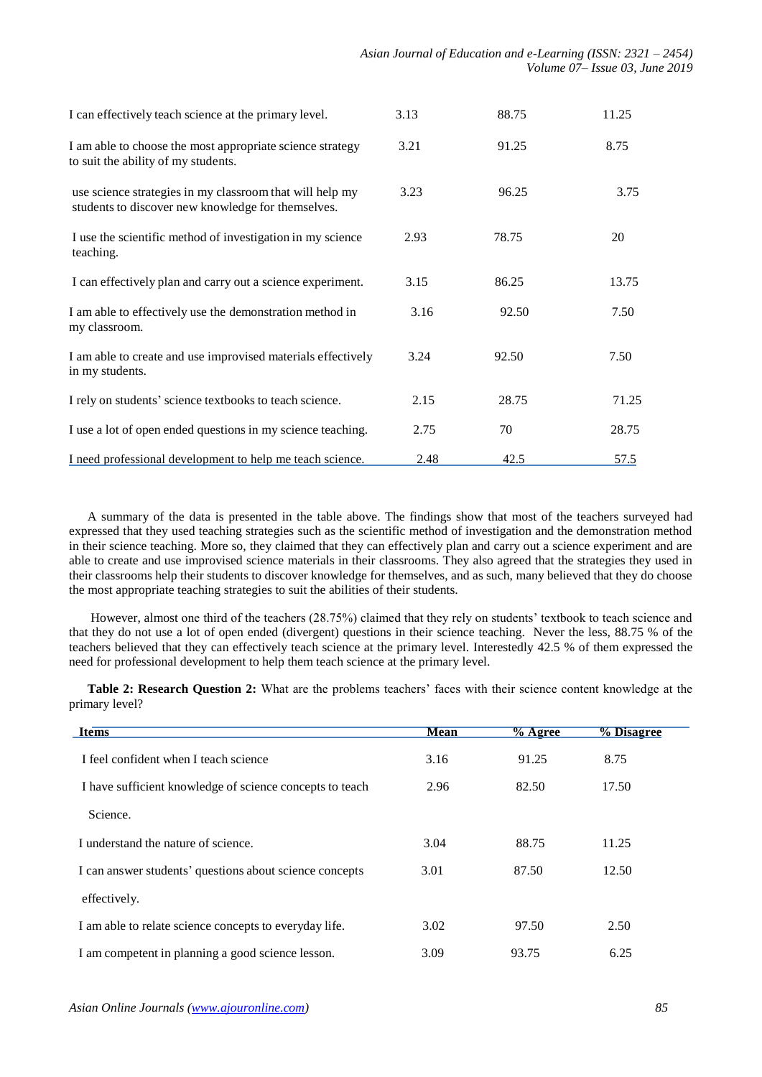| I can effectively teach science at the primary level.                                                          | 3.13 | 88.75 | 11.25       |
|----------------------------------------------------------------------------------------------------------------|------|-------|-------------|
| I am able to choose the most appropriate science strategy<br>to suit the ability of my students.               | 3.21 | 91.25 | 8.75        |
| use science strategies in my classroom that will help my<br>students to discover new knowledge for themselves. | 3.23 | 96.25 | 3.75        |
| I use the scientific method of investigation in my science<br>teaching.                                        | 2.93 | 78.75 | 20          |
| I can effectively plan and carry out a science experiment.                                                     | 3.15 | 86.25 | 13.75       |
| I am able to effectively use the demonstration method in<br>my classroom.                                      | 3.16 | 92.50 | 7.50        |
| I am able to create and use improvised materials effectively<br>in my students.                                | 3.24 | 92.50 | 7.50        |
| I rely on students' science textbooks to teach science.                                                        | 2.15 | 28.75 | 71.25       |
| I use a lot of open ended questions in my science teaching.                                                    | 2.75 | 70    | 28.75       |
| I need professional development to help me teach science.                                                      | 2.48 | 42.5  | <u>57.5</u> |

A summary of the data is presented in the table above. The findings show that most of the teachers surveyed had expressed that they used teaching strategies such as the scientific method of investigation and the demonstration method in their science teaching. More so, they claimed that they can effectively plan and carry out a science experiment and are able to create and use improvised science materials in their classrooms. They also agreed that the strategies they used in their classrooms help their students to discover knowledge for themselves, and as such, many believed that they do choose the most appropriate teaching strategies to suit the abilities of their students.

However, almost one third of the teachers (28.75%) claimed that they rely on students' textbook to teach science and that they do not use a lot of open ended (divergent) questions in their science teaching. Never the less, 88.75 % of the teachers believed that they can effectively teach science at the primary level. Interestedly 42.5 % of them expressed the need for professional development to help them teach science at the primary level.

**Table 2: Research Question 2:** What are the problems teachers' faces with their science content knowledge at the primary level?

| <b>Items</b>                                             | <b>Mean</b> | $%$ Agree | % Disagree |  |
|----------------------------------------------------------|-------------|-----------|------------|--|
| I feel confident when I teach science                    | 3.16        | 91.25     | 8.75       |  |
| I have sufficient knowledge of science concepts to teach | 2.96        | 82.50     | 17.50      |  |
| Science.                                                 |             |           |            |  |
| I understand the nature of science.                      | 3.04        | 88.75     | 11.25      |  |
| I can answer students' questions about science concepts  | 3.01        | 87.50     | 12.50      |  |
| effectively.                                             |             |           |            |  |
| I am able to relate science concepts to every day life.  | 3.02        | 97.50     | 2.50       |  |
| I am competent in planning a good science lesson.        | 3.09        | 93.75     | 6.25       |  |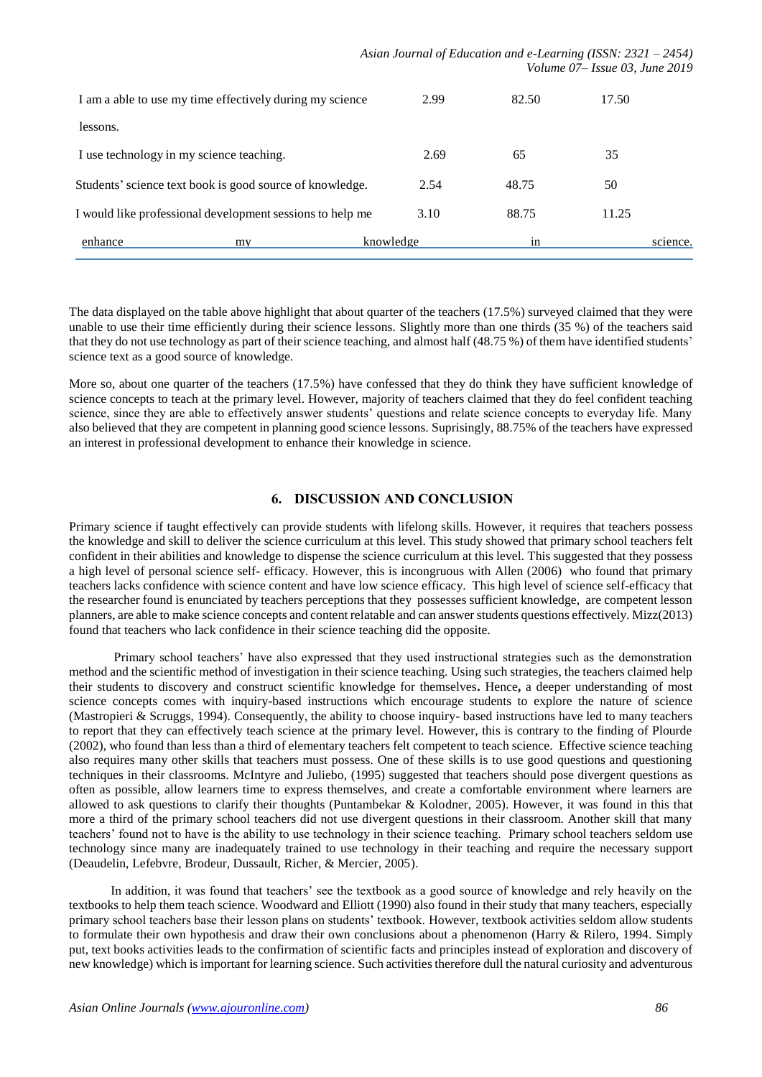| I am a able to use my time effectively during my science  |    |           | 2.99 | 82.50 | 17.50 |          |
|-----------------------------------------------------------|----|-----------|------|-------|-------|----------|
| lessons.                                                  |    |           |      |       |       |          |
| I use technology in my science teaching.                  |    |           | 2.69 | 65    | 35    |          |
| Students' science text book is good source of knowledge.  |    |           | 2.54 | 48.75 | 50    |          |
| I would like professional development sessions to help me |    |           | 3.10 | 88.75 | 11.25 |          |
| enhance                                                   | my | knowledge |      | 1n    |       | science. |

The data displayed on the table above highlight that about quarter of the teachers (17.5%) surveyed claimed that they were unable to use their time efficiently during their science lessons. Slightly more than one thirds (35 %) of the teachers said that they do not use technology as part of their science teaching, and almost half (48.75 %) of them have identified students' science text as a good source of knowledge.

More so, about one quarter of the teachers (17.5%) have confessed that they do think they have sufficient knowledge of science concepts to teach at the primary level. However, majority of teachers claimed that they do feel confident teaching science, since they are able to effectively answer students' questions and relate science concepts to everyday life. Many also believed that they are competent in planning good science lessons. Suprisingly, 88.75% of the teachers have expressed an interest in professional development to enhance their knowledge in science.

# **6. DISCUSSION AND CONCLUSION**

Primary science if taught effectively can provide students with lifelong skills. However, it requires that teachers possess the knowledge and skill to deliver the science curriculum at this level. This study showed that primary school teachers felt confident in their abilities and knowledge to dispense the science curriculum at this level. This suggested that they possess a high level of personal science self- efficacy. However, this is incongruous with Allen (2006) who found that primary teachers lacks confidence with science content and have low science efficacy. This high level of science self-efficacy that the researcher found is enunciated by teachers perceptions that they possesses sufficient knowledge, are competent lesson planners, are able to make science concepts and content relatable and can answer students questions effectively. Mizz(2013) found that teachers who lack confidence in their science teaching did the opposite.

 Primary school teachers' have also expressed that they used instructional strategies such as the demonstration method and the scientific method of investigation in their science teaching. Using such strategies, the teachers claimed help their students to discovery and construct scientific knowledge for themselves**.** Hence**,** a deeper understanding of most science concepts comes with inquiry-based instructions which encourage students to explore the nature of science (Mastropieri & Scruggs, 1994). Consequently, the ability to choose inquiry- based instructions have led to many teachers to report that they can effectively teach science at the primary level. However, this is contrary to the finding of Plourde (2002), who found than less than a third of elementary teachers felt competent to teach science. Effective science teaching also requires many other skills that teachers must possess. One of these skills is to use good questions and questioning techniques in their classrooms. McIntyre and Juliebo, (1995) suggested that teachers should pose divergent questions as often as possible, allow learners time to express themselves, and create a comfortable environment where learners are allowed to ask questions to clarify their thoughts (Puntambekar & Kolodner, 2005). However, it was found in this that more a third of the primary school teachers did not use divergent questions in their classroom. Another skill that many teachers' found not to have is the ability to use technology in their science teaching. Primary school teachers seldom use technology since many are inadequately trained to use technology in their teaching and require the necessary support (Deaudelin, Lefebvre, Brodeur, Dussault, Richer, & Mercier, 2005).

 In addition, it was found that teachers' see the textbook as a good source of knowledge and rely heavily on the textbooks to help them teach science. Woodward and Elliott (1990) also found in their study that many teachers, especially primary school teachers base their lesson plans on students' textbook. However, textbook activities seldom allow students to formulate their own hypothesis and draw their own conclusions about a phenomenon (Harry & Rilero, 1994. Simply put, text books activities leads to the confirmation of scientific facts and principles instead of exploration and discovery of new knowledge) which is important for learning science. Such activities therefore dull the natural curiosity and adventurous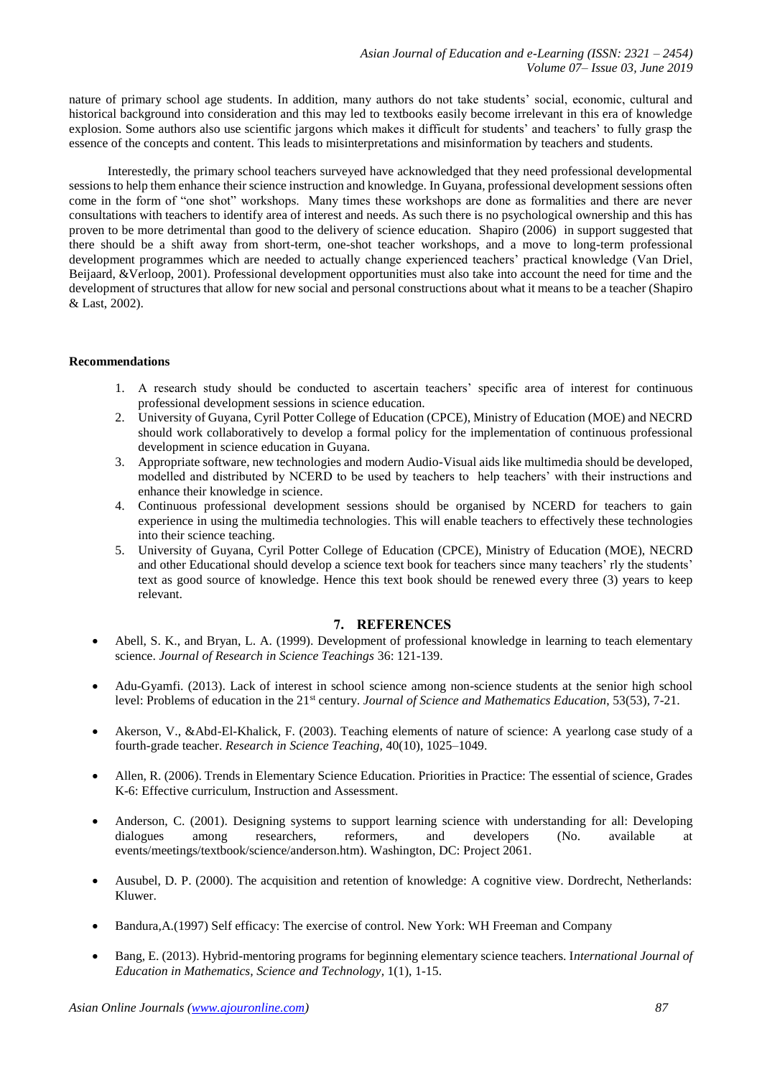nature of primary school age students. In addition, many authors do not take students' social, economic, cultural and historical background into consideration and this may led to textbooks easily become irrelevant in this era of knowledge explosion. Some authors also use scientific jargons which makes it difficult for students' and teachers' to fully grasp the essence of the concepts and content. This leads to misinterpretations and misinformation by teachers and students.

 Interestedly, the primary school teachers surveyed have acknowledged that they need professional developmental sessions to help them enhance their science instruction and knowledge. In Guyana, professional development sessions often come in the form of "one shot" workshops. Many times these workshops are done as formalities and there are never consultations with teachers to identify area of interest and needs. As such there is no psychological ownership and this has proven to be more detrimental than good to the delivery of science education. Shapiro (2006) in support suggested that there should be a shift away from short-term, one-shot teacher workshops, and a move to long-term professional development programmes which are needed to actually change experienced teachers' practical knowledge (Van Driel, Beijaard, &Verloop, 2001). Professional development opportunities must also take into account the need for time and the development of structures that allow for new social and personal constructions about what it means to be a teacher (Shapiro & Last, 2002).

## **Recommendations**

- 1. A research study should be conducted to ascertain teachers' specific area of interest for continuous professional development sessions in science education.
- 2. University of Guyana, Cyril Potter College of Education (CPCE), Ministry of Education (MOE) and NECRD should work collaboratively to develop a formal policy for the implementation of continuous professional development in science education in Guyana.
- 3. Appropriate software, new technologies and modern Audio-Visual aids like multimedia should be developed, modelled and distributed by NCERD to be used by teachers to help teachers' with their instructions and enhance their knowledge in science.
- 4. Continuous professional development sessions should be organised by NCERD for teachers to gain experience in using the multimedia technologies. This will enable teachers to effectively these technologies into their science teaching.
- 5. University of Guyana, Cyril Potter College of Education (CPCE), Ministry of Education (MOE), NECRD and other Educational should develop a science text book for teachers since many teachers' rly the students' text as good source of knowledge. Hence this text book should be renewed every three (3) years to keep relevant.

## **7. REFERENCES**

- Abell, S. K., and Bryan, L. A. (1999). Development of professional knowledge in learning to teach elementary science. *Journal of Research in Science Teachings* 36: 121-139.
- Adu-Gyamfi. (2013). Lack of interest in school science among non-science students at the senior high school level: Problems of education in the 21st century. *Journal of Science and Mathematics Education*, 53(53), 7-21.
- Akerson, V., &Abd-El-Khalick, F. (2003). Teaching elements of nature of science: A yearlong case study of a fourth-grade teacher. *Research in Science Teaching,* 40(10), 1025–1049.
- Allen, R. (2006). Trends in Elementary Science Education. Priorities in Practice: The essential of science, Grades K-6: Effective curriculum, Instruction and Assessment.
- Anderson, C. (2001). Designing systems to support learning science with understanding for all: Developing dialogues among researchers, reformers, and developers (No. available at events/meetings/textbook/science/anderson.htm). Washington, DC: Project 2061.
- Ausubel, D. P. (2000). The acquisition and retention of knowledge: A cognitive view. Dordrecht, Netherlands: Kluwer.
- Bandura,A.(1997) Self efficacy: The exercise of control. New York: WH Freeman and Company
- Bang, E. (2013). Hybrid-mentoring programs for beginning elementary science teachers. I*nternational Journal of Education in Mathematics, Science and Technology,* 1(1), 1-15.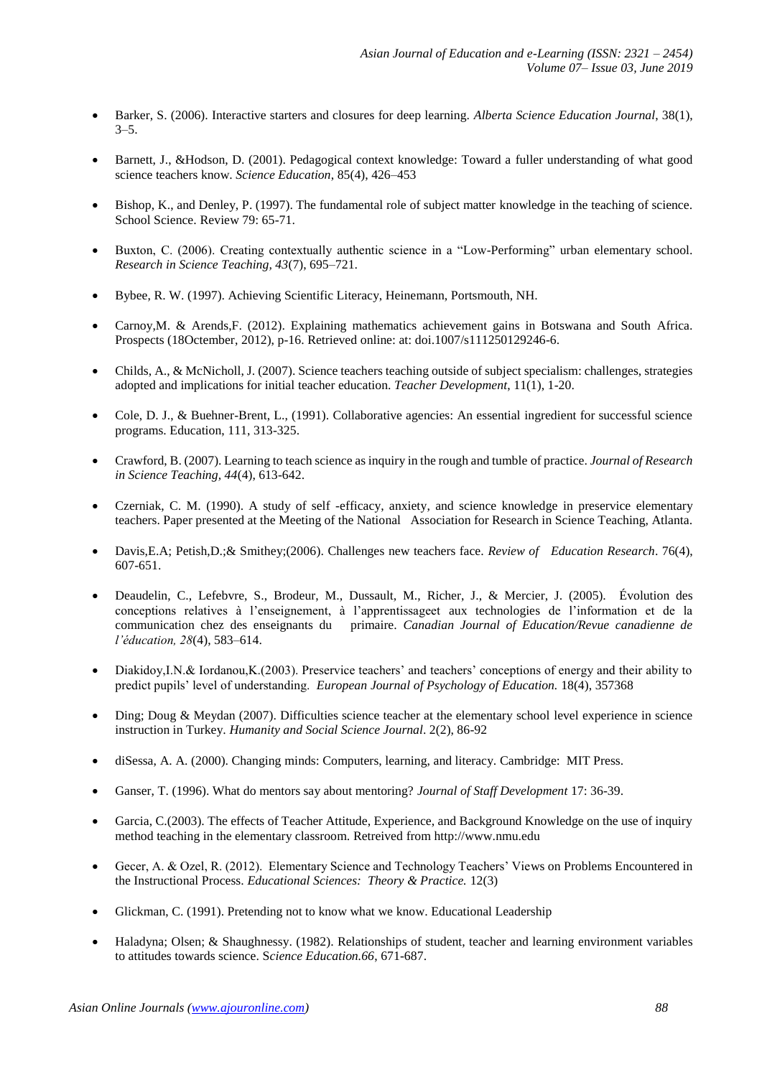- Barker, S. (2006). Interactive starters and closures for deep learning. *Alberta Science Education Journal*, 38(1),  $3 - 5$ .
- Barnett, J., &Hodson, D. (2001). Pedagogical context knowledge: Toward a fuller understanding of what good science teachers know. *Science Education*, 85(4), 426–453
- Bishop, K., and Denley, P. (1997). The fundamental role of subject matter knowledge in the teaching of science. School Science. Review 79: 65-71.
- Buxton, C. (2006). Creating contextually authentic science in a "Low-Performing" urban elementary school. *Research in Science Teaching, 43*(7), 695–721.
- Bybee, R. W. (1997). Achieving Scientific Literacy, Heinemann, Portsmouth, NH.
- Carnoy,M. & Arends,F. (2012). Explaining mathematics achievement gains in Botswana and South Africa. Prospects (18Octember, 2012), p-16. Retrieved online: at: doi.1007/s111250129246-6.
- Childs, A., & McNicholl, J. (2007). Science teachers teaching outside of subject specialism: challenges, strategies adopted and implications for initial teacher education. *Teacher Development*, 11(1), 1-20.
- Cole, D. J., & Buehner-Brent, L., (1991). Collaborative agencies: An essential ingredient for successful science programs. Education, 111, 313-325.
- Crawford, B. (2007). Learning to teach science as inquiry in the rough and tumble of practice. *Journal of Research in Science Teaching, 44*(4), 613-642.
- Czerniak, C. M. (1990). A study of self -efficacy, anxiety, and science knowledge in preservice elementary teachers. Paper presented at the Meeting of the National Association for Research in Science Teaching, Atlanta.
- Davis,E.A; Petish,D.;& Smithey;(2006). Challenges new teachers face. *Review of Education Research*. 76(4), 607-651.
- Deaudelin, C., Lefebvre, S., Brodeur, M., Dussault, M., Richer, J., & Mercier, J. (2005). Évolution des conceptions relatives à l'enseignement, à l'apprentissageet aux technologies de l'information et de la communication chez des enseignants du primaire. *Canadian Journal of Education/Revue canadienne de l'éducation, 28*(4), 583–614.
- Diakidoy,I.N.& Iordanou,K.(2003). Preservice teachers' and teachers' conceptions of energy and their ability to predict pupils' level of understanding. *European Journal of Psychology of Education.* 18(4), 357368
- Ding; Doug & Meydan (2007). Difficulties science teacher at the elementary school level experience in science instruction in Turkey. *Humanity and Social Science Journal*. 2(2), 86-92
- diSessa, A. A. (2000). Changing minds: Computers, learning, and literacy. Cambridge: MIT Press.
- Ganser, T. (1996). What do mentors say about mentoring? *Journal of Staff Development* 17: 36-39.
- Garcia, C.(2003). The effects of Teacher Attitude, Experience, and Background Knowledge on the use of inquiry method teaching in the elementary classroom. Retreived from http://www.nmu.edu
- Gecer, A. & Ozel, R. (2012). Elementary Science and Technology Teachers' Views on Problems Encountered in the Instructional Process. *Educational Sciences: Theory & Practice.* 12(3)
- Glickman, C. (1991). Pretending not to know what we know. Educational Leadership
- Haladyna; Olsen; & Shaughnessy. (1982). Relationships of student, teacher and learning environment variables to attitudes towards science. S*cience Education.66*, 671-687.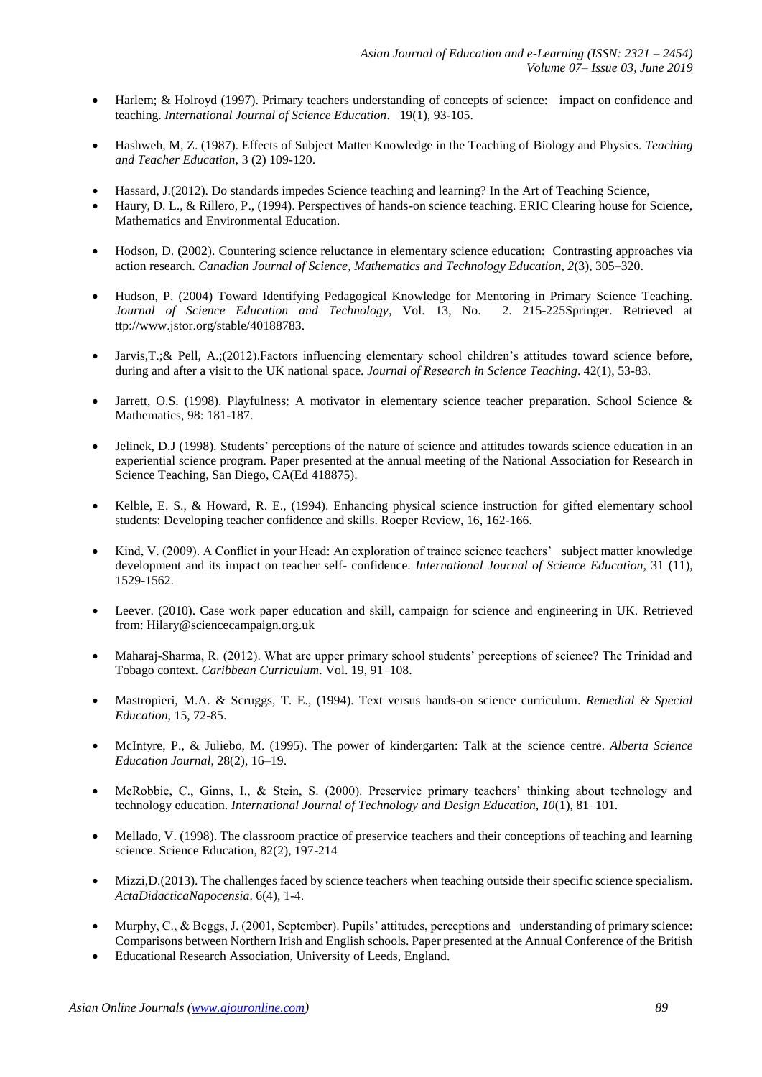- Harlem; & Holroyd (1997). Primary teachers understanding of concepts of science: impact on confidence and teaching. *International Journal of Science Education*. 19(1), 93-105.
- Hashweh, M, Z. (1987). Effects of Subject Matter Knowledge in the Teaching of Biology and Physics. *Teaching and Teacher Education,* 3 (2) 109-120.
- Hassard, J.(2012). Do standards impedes Science teaching and learning? In the Art of Teaching Science,
- Haury, D. L., & Rillero, P., (1994). Perspectives of hands-on science teaching. ERIC Clearing house for Science, Mathematics and Environmental Education.
- Hodson, D. (2002). Countering science reluctance in elementary science education: Contrasting approaches via action research. *Canadian Journal of Science, Mathematics and Technology Education, 2*(3), 305–320.
- Hudson, P. (2004) Toward Identifying Pedagogical Knowledge for Mentoring in Primary Science Teaching. *Journal of Science Education and Technology*, Vol. 13, No. 2. 215-225Springer. Retrieved at ttp://www.jstor.org/stable/40188783.
- Jarvis,T.;& Pell, A.;(2012).Factors influencing elementary school children's attitudes toward science before, during and after a visit to the UK national space. *Journal of Research in Science Teaching*. 42(1), 53-83.
- Jarrett, O.S. (1998). Playfulness: A motivator in elementary science teacher preparation. School Science & Mathematics, 98: 181-187.
- Jelinek, D.J (1998). Students' perceptions of the nature of science and attitudes towards science education in an experiential science program. Paper presented at the annual meeting of the National Association for Research in Science Teaching, San Diego, CA(Ed 418875).
- Kelble, E. S., & Howard, R. E., (1994). Enhancing physical science instruction for gifted elementary school students: Developing teacher confidence and skills. Roeper Review, 16, 162-166.
- Kind, V. (2009). A Conflict in your Head: An exploration of trainee science teachers' subject matter knowledge development and its impact on teacher self- confidence. *International Journal of Science Education,* 31 (11), 1529-1562.
- Leever. (2010). Case work paper education and skill, campaign for science and engineering in UK. Retrieved from: [Hilary@sciencecampaign.org.uk](mailto:Hilary@sciencecampaign.org.uk)
- Maharaj-Sharma, R. (2012). What are upper primary school students' perceptions of science? The Trinidad and Tobago context. *Caribbean Curriculum*. Vol. 19, 91–108.
- Mastropieri, M.A. & Scruggs, T. E., (1994). Text versus hands-on science curriculum. *Remedial & Special Education*, 15, 72-85.
- McIntyre, P., & Juliebo, M. (1995). The power of kindergarten: Talk at the science centre. *Alberta Science Education Journal*, 28(2), 16–19.
- McRobbie, C., Ginns, I., & Stein, S. (2000). Preservice primary teachers' thinking about technology and technology education. *International Journal of Technology and Design Education, 10*(1), 81–101.
- Mellado, V. (1998). The classroom practice of preservice teachers and their conceptions of teaching and learning science. Science Education, 82(2), 197-214
- Mizzi,D.(2013). The challenges faced by science teachers when teaching outside their specific science specialism. *ActaDidacticaNapocensia*. 6(4), 1-4.
- Murphy, C., & Beggs, J. (2001, September). Pupils' attitudes, perceptions and understanding of primary science: Comparisons between Northern Irish and English schools. Paper presented at the Annual Conference of the British
- Educational Research Association, University of Leeds, England.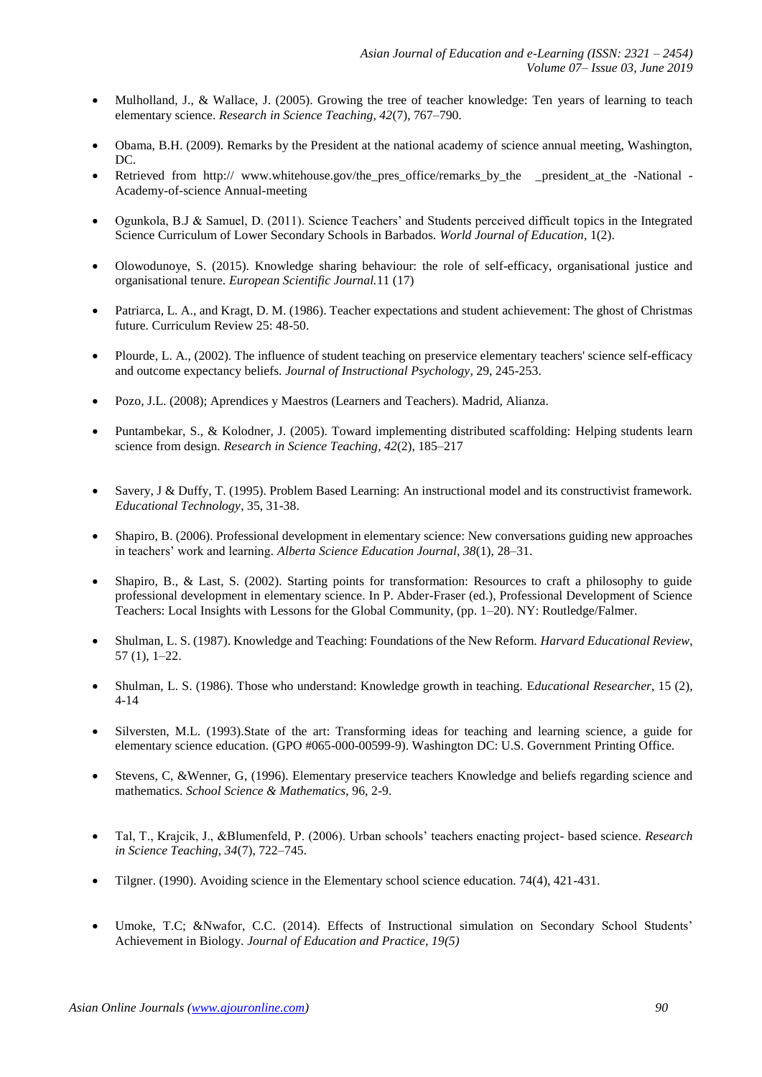- Mulholland, J., & Wallace, J. (2005). Growing the tree of teacher knowledge: Ten years of learning to teach elementary science. *Research in Science Teaching, 42*(7), 767–790.
- Obama, B.H. (2009). Remarks by the President at the national academy of science annual meeting, Washington, DC.
- Retrieved from http:// www.whitehouse.gov/the pres office/remarks by the president at the -National -Academy-of-science Annual-meeting
- Ogunkola, B.J & Samuel, D. (2011). Science Teachers' and Students perceived difficult topics in the Integrated Science Curriculum of Lower Secondary Schools in Barbados. *World Journal of Education*, 1(2).
- Olowodunoye, S. (2015). Knowledge sharing behaviour: the role of self-efficacy, organisational justice and organisational tenure. *European Scientific Journal.*11 (17)
- Patriarca, L. A., and Kragt, D. M. (1986). Teacher expectations and student achievement: The ghost of Christmas future. Curriculum Review 25: 48-50.
- Plourde, L. A., (2002). The influence of student teaching on preservice elementary teachers' science self-efficacy and outcome expectancy beliefs. *Journal of Instructional Psychology,* 29, 245-253.
- Pozo, J.L. (2008); Aprendices y Maestros (Learners and Teachers). Madrid, Alianza.
- Puntambekar, S., & Kolodner, J. (2005). Toward implementing distributed scaffolding: Helping students learn science from design. *Research in Science Teaching, 42*(2), 185–217
- Savery, J & Duffy, T. (1995). Problem Based Learning: An instructional model and its constructivist framework. *Educational Technology*, 35, 31-38.
- Shapiro, B. (2006). Professional development in elementary science: New conversations guiding new approaches in teachers' work and learning*. Alberta Science Education Journal, 38*(1), 28–31.
- Shapiro, B., & Last, S. (2002). Starting points for transformation: Resources to craft a philosophy to guide professional development in elementary science. In P. Abder-Fraser (ed.), Professional Development of Science Teachers: Local Insights with Lessons for the Global Community, (pp. 1–20). NY: Routledge/Falmer.
- Shulman, L. S. (1987). Knowledge and Teaching: Foundations of the New Reform. *Harvard Educational Review*, 57 (1), 1–22.
- Shulman, L. S. (1986). Those who understand: Knowledge growth in teaching. E*ducational Researcher*, 15 (2), 4-14
- Silversten, M.L. (1993).State of the art: Transforming ideas for teaching and learning science, a guide for elementary science education. (GPO #065-000-00599-9). Washington DC: U.S. Government Printing Office.
- Stevens, C, &Wenner, G, (1996). Elementary preservice teachers Knowledge and beliefs regarding science and mathematics. *School Science & Mathematics*, 96, 2-9.
- Tal, T., Krajcik, J., &Blumenfeld, P. (2006). Urban schools' teachers enacting project- based science. *Research in Science Teaching, 34*(7), 722–745.
- Tilgner. (1990). Avoiding science in the Elementary school science education. 74(4), 421-431.
- Umoke, T.C; &Nwafor, C.C. (2014). Effects of Instructional simulation on Secondary School Students' Achievement in Biology. *Journal of Education and Practice, 19(5)*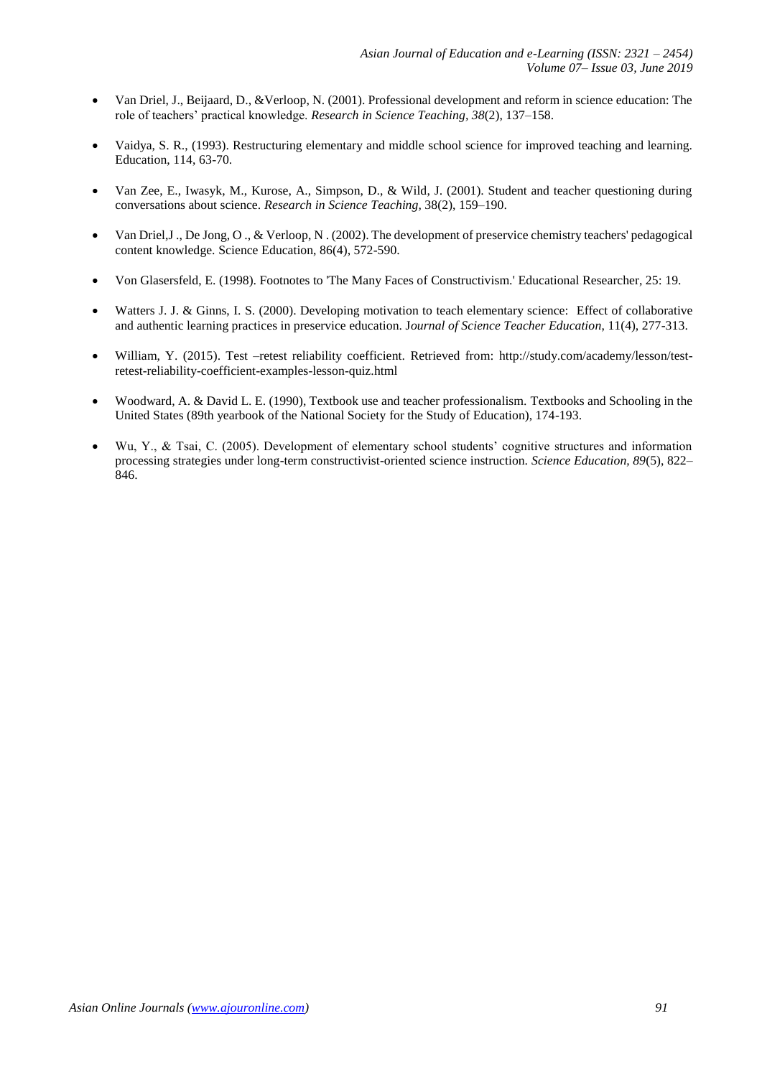- Van Driel, J., Beijaard, D., &Verloop, N. (2001). Professional development and reform in science education: The role of teachers' practical knowledge. *Research in Science Teaching, 38*(2), 137–158.
- Vaidya, S. R., (1993). Restructuring elementary and middle school science for improved teaching and learning. Education, 114, 63-70.
- Van Zee, E., Iwasyk, M., Kurose, A., Simpson, D., & Wild, J. (2001). Student and teacher questioning during conversations about science. *Research in Science Teaching,* 38(2), 159–190.
- Van Driel,J ., De Jong, O ., & Verloop, N . (2002). The development of preservice chemistry teachers' pedagogical content knowledge. Science Education, 86(4), 572-590.
- Von Glasersfeld, E. (1998). Footnotes to 'The Many Faces of Constructivism.' Educational Researcher, 25: 19.
- Watters J. J. & Ginns, I. S. (2000). Developing motivation to teach elementary science: Effect of collaborative and authentic learning practices in preservice education. J*ournal of Science Teacher Education*, 11(4), 277-313.
- William, Y. (2015). Test –retest reliability coefficient. Retrieved from: [http://study.com/academy/lesson/test](http://study.com/academy/lesson/test-retest-reliability-coefficient-examples-)[retest-reliability-coefficient-examples-l](http://study.com/academy/lesson/test-retest-reliability-coefficient-examples-)esson-quiz.html
- Woodward, A. & David L. E. (1990), Textbook use and teacher professionalism. Textbooks and Schooling in the United States (89th yearbook of the National Society for the Study of Education), 174-193.
- Wu, Y., & Tsai, C. (2005). Development of elementary school students' cognitive structures and information processing strategies under long-term constructivist-oriented science instruction. *Science Education, 89*(5), 822– 846.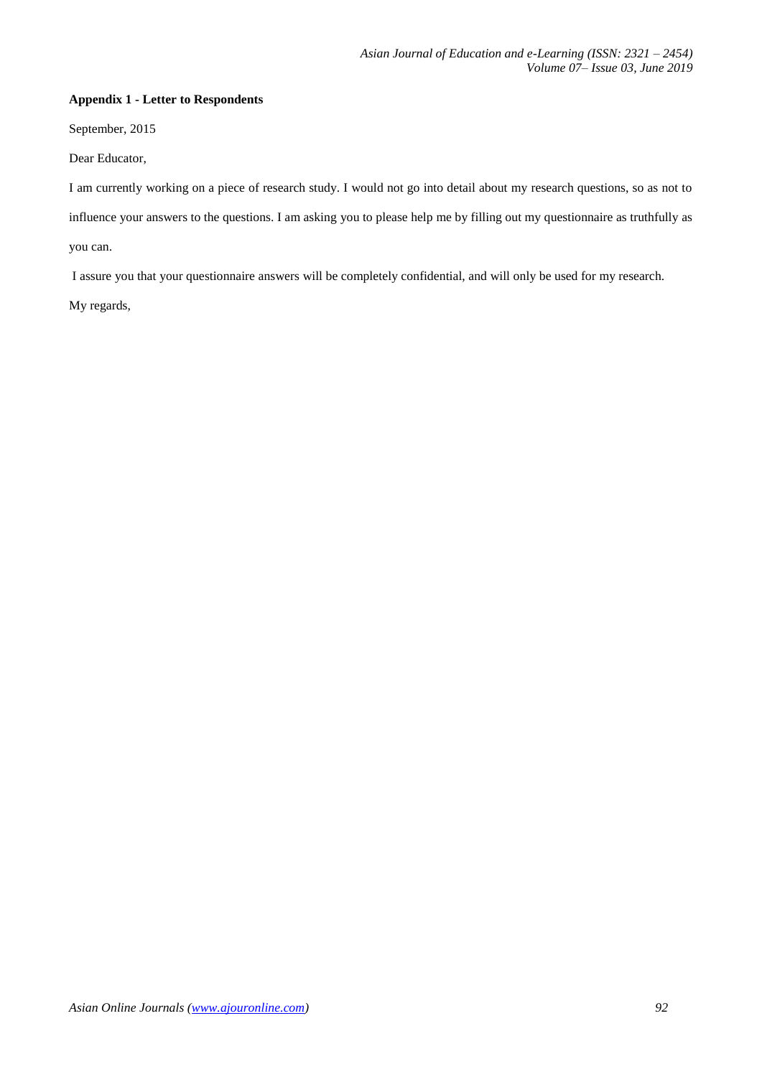## **Appendix 1 - Letter to Respondents**

September, 2015

Dear Educator,

I am currently working on a piece of research study. I would not go into detail about my research questions, so as not to influence your answers to the questions. I am asking you to please help me by filling out my questionnaire as truthfully as you can.

I assure you that your questionnaire answers will be completely confidential, and will only be used for my research.

My regards,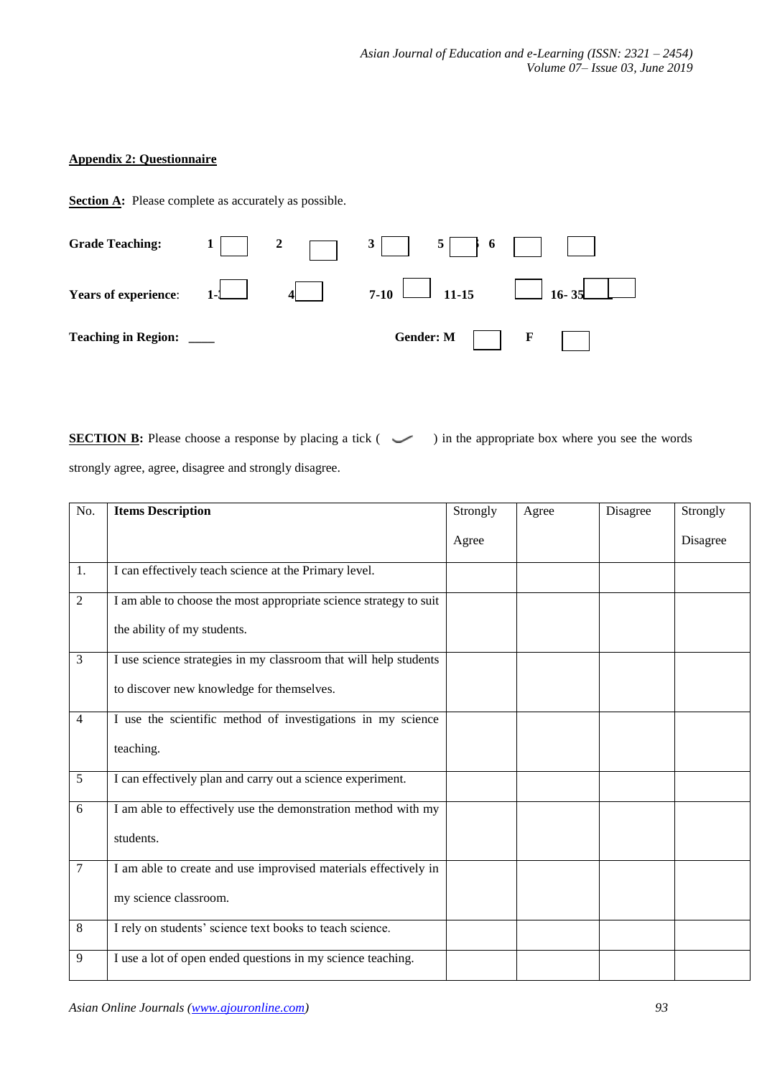# **Appendix 2: Questionnaire**

**Section A:** Please complete as accurately as possible.



**SECTION B:** Please choose a response by placing a tick (  $\sim$  ) in the appropriate box where you see the words strongly agree, agree, disagree and strongly disagree.

| No.            | <b>Items Description</b>                                          | Strongly | Agree | Disagree | Strongly |
|----------------|-------------------------------------------------------------------|----------|-------|----------|----------|
|                |                                                                   | Agree    |       |          | Disagree |
| 1.             | I can effectively teach science at the Primary level.             |          |       |          |          |
| $\overline{c}$ | I am able to choose the most appropriate science strategy to suit |          |       |          |          |
|                | the ability of my students.                                       |          |       |          |          |
| $\mathfrak{Z}$ | I use science strategies in my classroom that will help students  |          |       |          |          |
|                | to discover new knowledge for themselves.                         |          |       |          |          |
| $\overline{4}$ | I use the scientific method of investigations in my science       |          |       |          |          |
|                | teaching.                                                         |          |       |          |          |
| 5              | I can effectively plan and carry out a science experiment.        |          |       |          |          |
| 6              | I am able to effectively use the demonstration method with my     |          |       |          |          |
|                | students.                                                         |          |       |          |          |
| $\overline{7}$ | I am able to create and use improvised materials effectively in   |          |       |          |          |
|                | my science classroom.                                             |          |       |          |          |
| 8              | I rely on students' science text books to teach science.          |          |       |          |          |
| 9              | I use a lot of open ended questions in my science teaching.       |          |       |          |          |